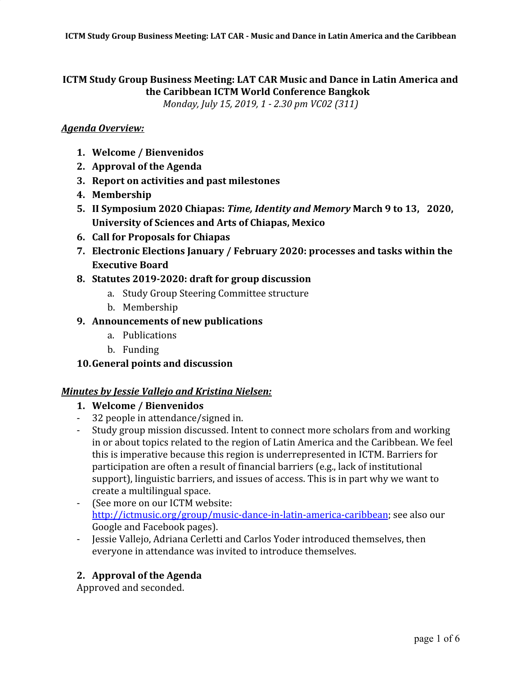# **ICTM Study Group Business Meeting: LAT CAR Music and Dance in Latin America and the Caribbean ICTM World Conference Bangkok**

*Monday, July 15, 2019, 1 - 2.30 pm VC02 (311)*

## *Agenda Overview:*

- **1. Welcome / Bienvenidos**
- **2. Approval of the Agenda**
- **3. Report on activities and past milestones**
- **4. Membership**
- **5. II Symposium 2020 Chiapas:** *Time, Identity and Memory* **March 9 to 13, 2020, University of Sciences and Arts of Chiapas, Mexico**
- **6. Call for Proposals for Chiapas**
- **7. Electronic Elections January / February 2020: processes and tasks within the Executive Board**
- **8. Statutes 2019-2020: draft for group discussion** 
	- a. Study Group Steering Committee structure
	- b. Membership

## **9. Announcements of new publications**

- a. Publications
- b. Funding

## **10.General points and discussion**

## *Minutes by Jessie Vallejo and Kristina Nielsen:*

- **1. Welcome / Bienvenidos**
- 32 people in attendance/signed in.
- Study group mission discussed. Intent to connect more scholars from and working in or about topics related to the region of Latin America and the Caribbean. We feel this is imperative because this region is underrepresented in ICTM. Barriers for participation are often a result of financial barriers (e.g., lack of institutional support), linguistic barriers, and issues of access. This is in part why we want to create a multilingual space.
- (See more on our ICTM website: <http://ictmusic.org/group/music-dance-in-latin-america-caribbean>; see also our Google and Facebook pages).
- Jessie Vallejo, Adriana Cerletti and Carlos Yoder introduced themselves, then everyone in attendance was invited to introduce themselves.

## **2. Approval of the Agenda**

Approved and seconded.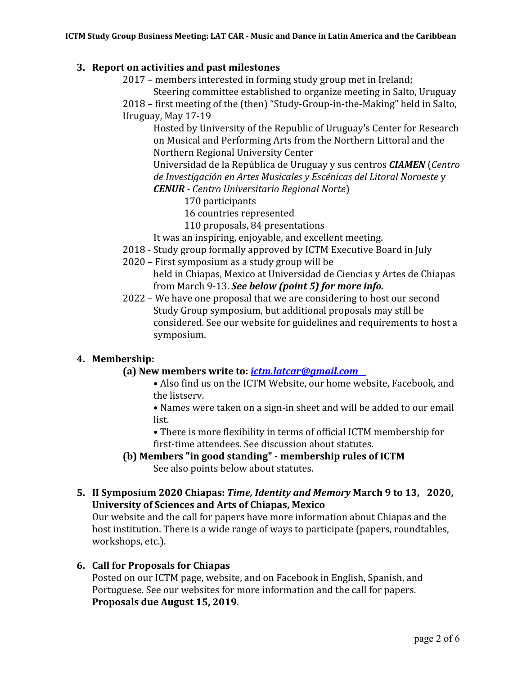## **3. Report on activities and past milestones**

- 2017 members interested in forming study group met in Ireland; Steering committee established to organize meeting in Salto, Uruguay
- 2018 first meeting of the (then) "Study-Group-in-the-Making" held in Salto, Uruguay, May 17-19

Hosted by University of the Republic of Uruguay's Center for Research on Musical and Performing Arts from the Northern Littoral and the Northern Regional University Center

Universidad de la República de Uruguay y sus centros *CIAMEN* (*Centro de Investigación en Artes Musicales y Escénicas del Litoral Noroeste* y *CENUR - Centro Universitario Regional Norte*)

- 170 participants
- 16 countries represented
- 110 proposals, 84 presentations
- It was an inspiring, enjoyable, and excellent meeting.
- 2018 Study group formally approved by ICTM Executive Board in July
- 2020 First symposium as a study group will be held in Chiapas, Mexico at Universidad de Ciencias y Artes de Chiapas from March 9-13. *See below (point 5) for more info.*
- 2022 We have one proposal that we are considering to host our second Study Group symposium, but additional proposals may still be considered. See our website for guidelines and requirements to host a symposium.

## **4. Membership:**

## **(a) New members write to:** *ictm.latcar@gmail.com*

**•** Also find us on the ICTM Website, our home website, Facebook, and the listserv.

**•** Names were taken on a sign-in sheet and will be added to our email list.

**•** There is more flexibility in terms of official ICTM membership for first-time attendees. See discussion about statutes.

**(b) Members "in good standing" - membership rules of ICTM**  See also points below about statutes.

## **5. II Symposium 2020 Chiapas:** *Time, Identity and Memory* **March 9 to 13, 2020, University of Sciences and Arts of Chiapas, Mexico**

Our website and the call for papers have more information about Chiapas and the host institution. There is a wide range of ways to participate (papers, roundtables, workshops, etc.).

## **6. Call for Proposals for Chiapas**

Posted on our ICTM page, website, and on Facebook in English, Spanish, and Portuguese. See our websites for more information and the call for papers. **Proposals due August 15, 2019**.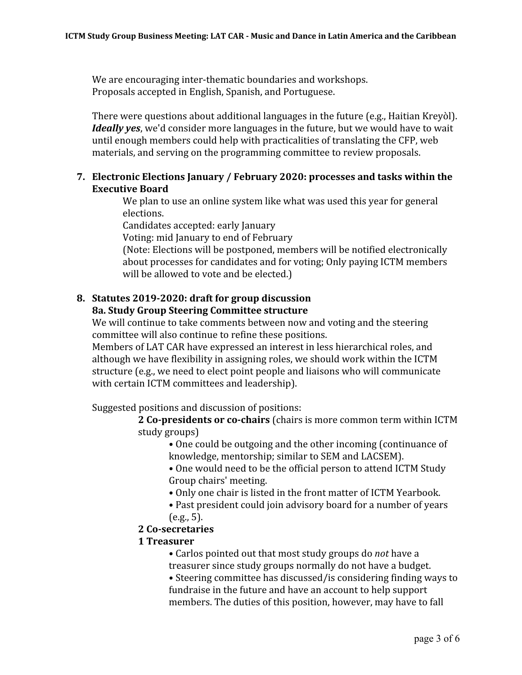We are encouraging inter-thematic boundaries and workshops. Proposals accepted in English, Spanish, and Portuguese.

There were questions about additional languages in the future (e.g., Haitian Kreyòl). *Ideally yes*, we'd consider more languages in the future, but we would have to wait until enough members could help with practicalities of translating the CFP, web materials, and serving on the programming committee to review proposals.

# **7. Electronic Elections January / February 2020: processes and tasks within the Executive Board**

We plan to use an online system like what was used this year for general elections.

Candidates accepted: early January

Voting: mid January to end of February

(Note: Elections will be postponed, members will be notified electronically about processes for candidates and for voting; Only paying ICTM members will be allowed to vote and be elected.)

## **8. Statutes 2019-2020: draft for group discussion 8a. Study Group Steering Committee structure**

We will continue to take comments between now and voting and the steering committee will also continue to refine these positions.

Members of LAT CAR have expressed an interest in less hierarchical roles, and although we have flexibility in assigning roles, we should work within the ICTM structure (e.g., we need to elect point people and liaisons who will communicate with certain ICTM committees and leadership).

Suggested positions and discussion of positions:

**2 Co-presidents or co-chairs** (chairs is more common term within ICTM study groups)

- One could be outgoing and the other incoming (continuance of knowledge, mentorship; similar to SEM and LACSEM).
- One would need to be the official person to attend ICTM Study Group chairs' meeting.
- Only one chair is listed in the front matter of ICTM Yearbook.
- Past president could join advisory board for a number of years  $(e.g., 5)$ .

# **2 Co-secretaries**

# **1 Treasurer**

- Carlos pointed out that most study groups do *not* have a treasurer since study groups normally do not have a budget.
- Steering committee has discussed/is considering finding ways to fundraise in the future and have an account to help support members. The duties of this position, however, may have to fall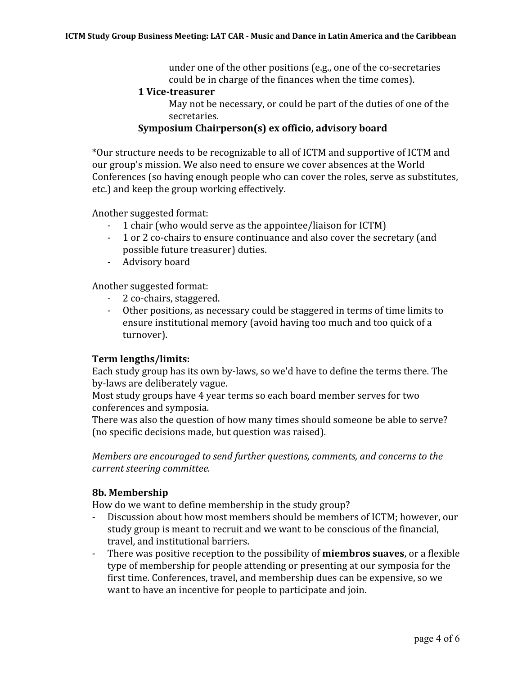under one of the other positions (e.g., one of the co-secretaries could be in charge of the finances when the time comes).

#### **1 Vice-treasurer**

May not be necessary, or could be part of the duties of one of the secretaries.

### **Symposium Chairperson(s) ex officio, advisory board**

\*Our structure needs to be recognizable to all of ICTM and supportive of ICTM and our group's mission. We also need to ensure we cover absences at the World Conferences (so having enough people who can cover the roles, serve as substitutes, etc.) and keep the group working effectively.

Another suggested format:

- 1 chair (who would serve as the appointee/liaison for ICTM)
- 1 or 2 co-chairs to ensure continuance and also cover the secretary (and possible future treasurer) duties.
- Advisory board

Another suggested format:

- 2 co-chairs, staggered.
- Other positions, as necessary could be staggered in terms of time limits to ensure institutional memory (avoid having too much and too quick of a turnover).

#### **Term lengths/limits:**

Each study group has its own by-laws, so we'd have to define the terms there. The by-laws are deliberately vague.

Most study groups have 4 year terms so each board member serves for two conferences and symposia.

There was also the question of how many times should someone be able to serve? (no specific decisions made, but question was raised).

*Members are encouraged to send further questions, comments, and concerns to the current steering committee.*

### **8b. Membership**

How do we want to define membership in the study group?

- Discussion about how most members should be members of ICTM; however, our study group is meant to recruit and we want to be conscious of the financial, travel, and institutional barriers.
- There was positive reception to the possibility of **miembros suaves**, or a flexible type of membership for people attending or presenting at our symposia for the first time. Conferences, travel, and membership dues can be expensive, so we want to have an incentive for people to participate and join.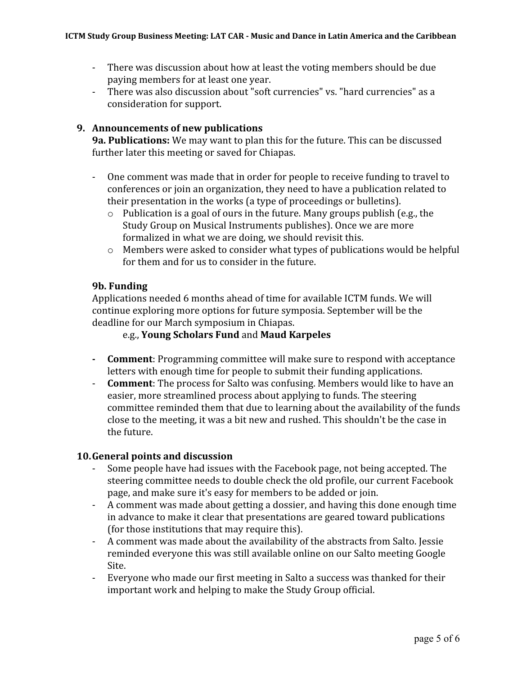- There was discussion about how at least the voting members should be due paying members for at least one year.
- There was also discussion about "soft currencies" vs. "hard currencies" as a consideration for support.

## **9. Announcements of new publications**

**9a. Publications:** We may want to plan this for the future. This can be discussed further later this meeting or saved for Chiapas.

- One comment was made that in order for people to receive funding to travel to conferences or join an organization, they need to have a publication related to their presentation in the works (a type of proceedings or bulletins).
	- o Publication is a goal of ours in the future. Many groups publish (e.g., the Study Group on Musical Instruments publishes). Once we are more formalized in what we are doing, we should revisit this.
	- o Members were asked to consider what types of publications would be helpful for them and for us to consider in the future.

### **9b. Funding**

Applications needed 6 months ahead of time for available ICTM funds. We will continue exploring more options for future symposia. September will be the deadline for our March symposium in Chiapas.

## e.g., **Young Scholars Fund** and **Maud Karpeles**

- **- Comment**: Programming committee will make sure to respond with acceptance letters with enough time for people to submit their funding applications.
- **Comment**: The process for Salto was confusing. Members would like to have an easier, more streamlined process about applying to funds. The steering committee reminded them that due to learning about the availability of the funds close to the meeting, it was a bit new and rushed. This shouldn't be the case in the future.

### **10.General points and discussion**

- Some people have had issues with the Facebook page, not being accepted. The steering committee needs to double check the old profile, our current Facebook page, and make sure it's easy for members to be added or join.
- A comment was made about getting a dossier, and having this done enough time in advance to make it clear that presentations are geared toward publications (for those institutions that may require this).
- A comment was made about the availability of the abstracts from Salto. Jessie reminded everyone this was still available online on our Salto meeting Google Site.
- Everyone who made our first meeting in Salto a success was thanked for their important work and helping to make the Study Group official.